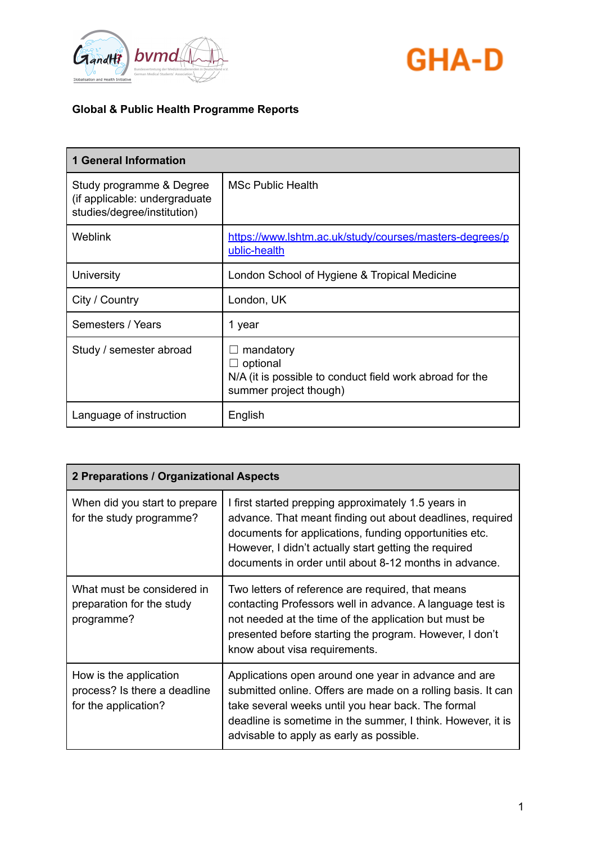



| <b>1 General Information</b>                                                             |                                                                                                                    |
|------------------------------------------------------------------------------------------|--------------------------------------------------------------------------------------------------------------------|
| Study programme & Degree<br>(if applicable: undergraduate<br>studies/degree/institution) | <b>MSc Public Health</b>                                                                                           |
| <b>Weblink</b>                                                                           | https://www.lshtm.ac.uk/study/courses/masters-degrees/p<br>ublic-health                                            |
| University                                                                               | London School of Hygiene & Tropical Medicine                                                                       |
| City / Country                                                                           | London, UK                                                                                                         |
| Semesters / Years                                                                        | 1 year                                                                                                             |
| Study / semester abroad                                                                  | mandatory<br>$\Box$ optional<br>N/A (it is possible to conduct field work abroad for the<br>summer project though) |
| Language of instruction                                                                  | English                                                                                                            |

| 2 Preparations / Organizational Aspects                                        |                                                                                                                                                                                                                                                                                               |
|--------------------------------------------------------------------------------|-----------------------------------------------------------------------------------------------------------------------------------------------------------------------------------------------------------------------------------------------------------------------------------------------|
| When did you start to prepare<br>for the study programme?                      | I first started prepping approximately 1.5 years in<br>advance. That meant finding out about deadlines, required<br>documents for applications, funding opportunities etc.<br>However, I didn't actually start getting the required<br>documents in order until about 8-12 months in advance. |
| What must be considered in<br>preparation for the study<br>programme?          | Two letters of reference are required, that means<br>contacting Professors well in advance. A language test is<br>not needed at the time of the application but must be<br>presented before starting the program. However, I don't<br>know about visa requirements.                           |
| How is the application<br>process? Is there a deadline<br>for the application? | Applications open around one year in advance and are<br>submitted online. Offers are made on a rolling basis. It can<br>take several weeks until you hear back. The formal<br>deadline is sometime in the summer, I think. However, it is<br>advisable to apply as early as possible.         |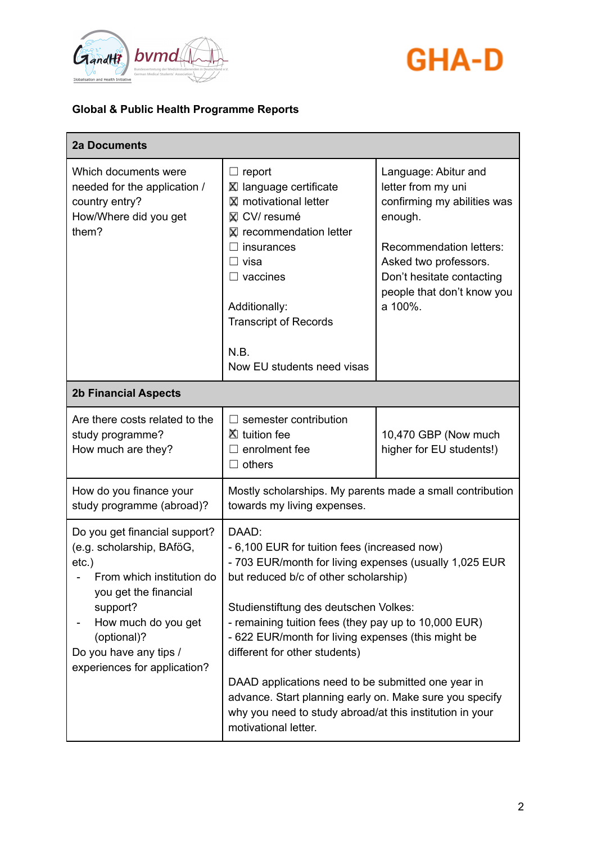



| <b>2a Documents</b>                                                                                                                                                                                                                      |                                                                                                                                                                                                                                                                                                                                                                                                                                                                                                                                                       |                                                                                                                                                                                                                       |
|------------------------------------------------------------------------------------------------------------------------------------------------------------------------------------------------------------------------------------------|-------------------------------------------------------------------------------------------------------------------------------------------------------------------------------------------------------------------------------------------------------------------------------------------------------------------------------------------------------------------------------------------------------------------------------------------------------------------------------------------------------------------------------------------------------|-----------------------------------------------------------------------------------------------------------------------------------------------------------------------------------------------------------------------|
| Which documents were<br>needed for the application /<br>country entry?<br>How/Where did you get<br>them?                                                                                                                                 | $\Box$ report<br><b>⊠</b> language certificate<br><b>X</b> motivational letter<br>⊠ CV/ resumé<br><b>X</b> recommendation letter<br>insurances<br>$\Box$ visa<br>$\Box$ vaccines<br>Additionally:<br><b>Transcript of Records</b><br>N.B.<br>Now EU students need visas                                                                                                                                                                                                                                                                               | Language: Abitur and<br>letter from my uni<br>confirming my abilities was<br>enough.<br><b>Recommendation letters:</b><br>Asked two professors.<br>Don't hesitate contacting<br>people that don't know you<br>a 100%. |
| <b>2b Financial Aspects</b>                                                                                                                                                                                                              |                                                                                                                                                                                                                                                                                                                                                                                                                                                                                                                                                       |                                                                                                                                                                                                                       |
| Are there costs related to the<br>study programme?<br>How much are they?                                                                                                                                                                 | $\Box$ semester contribution<br>■ tuition fee<br>$\Box$ enrolment fee<br>$\Box$ others                                                                                                                                                                                                                                                                                                                                                                                                                                                                | 10,470 GBP (Now much<br>higher for EU students!)                                                                                                                                                                      |
| How do you finance your<br>study programme (abroad)?                                                                                                                                                                                     | Mostly scholarships. My parents made a small contribution<br>towards my living expenses.                                                                                                                                                                                                                                                                                                                                                                                                                                                              |                                                                                                                                                                                                                       |
| Do you get financial support?<br>(e.g. scholarship, BAföG,<br>$etc.$ )<br>From which institution do<br>you get the financial<br>support?<br>How much do you get<br>(optional)?<br>Do you have any tips /<br>experiences for application? | DAAD:<br>- 6,100 EUR for tuition fees (increased now)<br>- 703 EUR/month for living expenses (usually 1,025 EUR<br>but reduced b/c of other scholarship)<br>Studienstiftung des deutschen Volkes:<br>- remaining tuition fees (they pay up to 10,000 EUR)<br>- 622 EUR/month for living expenses (this might be<br>different for other students)<br>DAAD applications need to be submitted one year in<br>advance. Start planning early on. Make sure you specify<br>why you need to study abroad/at this institution in your<br>motivational letter. |                                                                                                                                                                                                                       |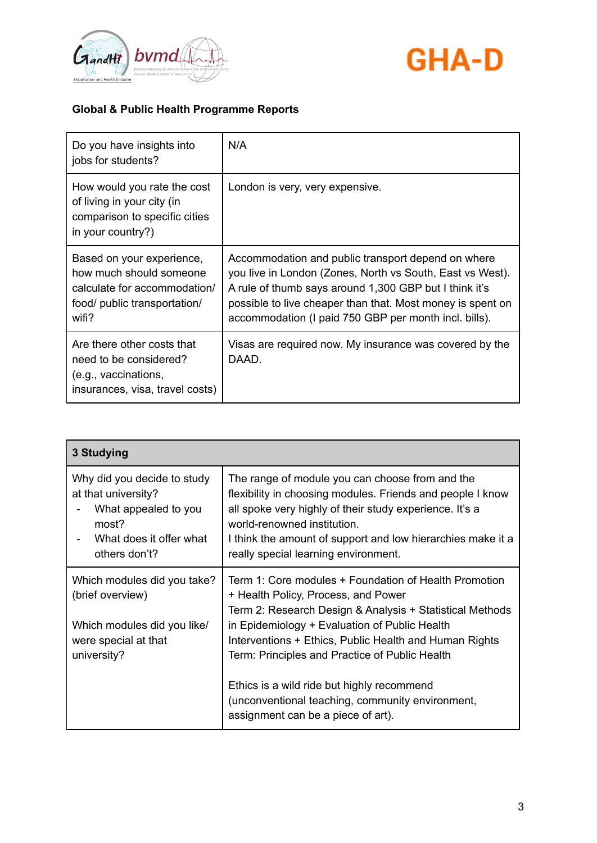



| Do you have insights into<br>jobs for students?                                                                               | N/A                                                                                                                                                                                                                                                                                              |
|-------------------------------------------------------------------------------------------------------------------------------|--------------------------------------------------------------------------------------------------------------------------------------------------------------------------------------------------------------------------------------------------------------------------------------------------|
| How would you rate the cost<br>of living in your city (in<br>comparison to specific cities<br>in your country?)               | London is very, very expensive.                                                                                                                                                                                                                                                                  |
| Based on your experience,<br>how much should someone<br>calculate for accommodation/<br>food/ public transportation/<br>wifi? | Accommodation and public transport depend on where<br>you live in London (Zones, North vs South, East vs West).<br>A rule of thumb says around 1,300 GBP but I think it's<br>possible to live cheaper than that. Most money is spent on<br>accommodation (I paid 750 GBP per month incl. bills). |
| Are there other costs that<br>need to be considered?<br>(e.g., vaccinations,<br>insurances, visa, travel costs)               | Visas are required now. My insurance was covered by the<br>DAAD.                                                                                                                                                                                                                                 |

| 3 Studying                                                                                                                      |                                                                                                                                                                                                                                                                                                                       |  |
|---------------------------------------------------------------------------------------------------------------------------------|-----------------------------------------------------------------------------------------------------------------------------------------------------------------------------------------------------------------------------------------------------------------------------------------------------------------------|--|
| Why did you decide to study<br>at that university?<br>What appealed to you<br>most?<br>What does it offer what<br>others don't? | The range of module you can choose from and the<br>flexibility in choosing modules. Friends and people I know<br>all spoke very highly of their study experience. It's a<br>world-renowned institution.<br>I think the amount of support and low hierarchies make it a<br>really special learning environment.        |  |
| Which modules did you take?<br>(brief overview)<br>Which modules did you like/<br>were special at that<br>university?           | Term 1: Core modules + Foundation of Health Promotion<br>+ Health Policy, Process, and Power<br>Term 2: Research Design & Analysis + Statistical Methods<br>in Epidemiology + Evaluation of Public Health<br>Interventions + Ethics, Public Health and Human Rights<br>Term: Principles and Practice of Public Health |  |
|                                                                                                                                 | Ethics is a wild ride but highly recommend<br>(unconventional teaching, community environment,<br>assignment can be a piece of art).                                                                                                                                                                                  |  |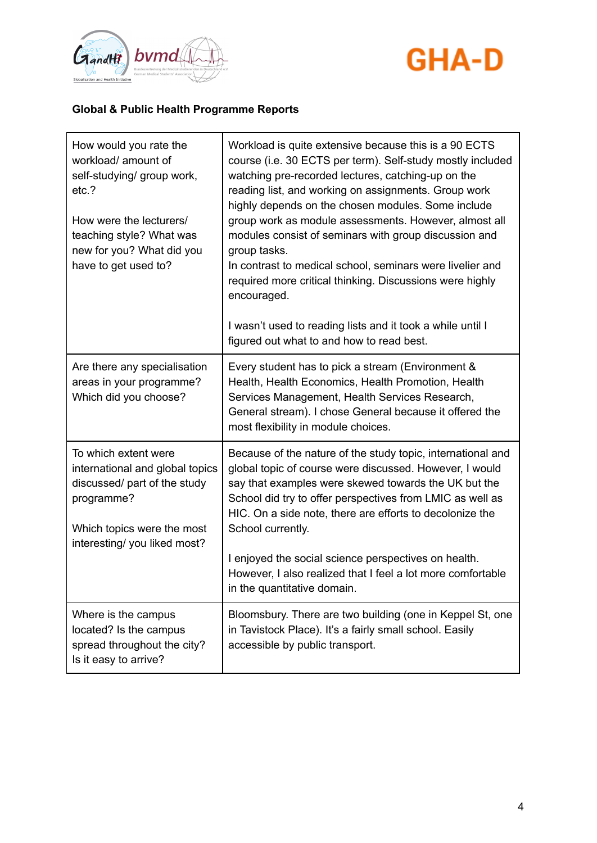



| How would you rate the<br>workload/ amount of<br>self-studying/ group work,<br>etc.?<br>How were the lecturers/<br>teaching style? What was<br>new for you? What did you<br>have to get used to? | Workload is quite extensive because this is a 90 ECTS<br>course (i.e. 30 ECTS per term). Self-study mostly included<br>watching pre-recorded lectures, catching-up on the<br>reading list, and working on assignments. Group work<br>highly depends on the chosen modules. Some include<br>group work as module assessments. However, almost all<br>modules consist of seminars with group discussion and<br>group tasks.<br>In contrast to medical school, seminars were livelier and<br>required more critical thinking. Discussions were highly<br>encouraged.<br>I wasn't used to reading lists and it took a while until I<br>figured out what to and how to read best. |
|--------------------------------------------------------------------------------------------------------------------------------------------------------------------------------------------------|------------------------------------------------------------------------------------------------------------------------------------------------------------------------------------------------------------------------------------------------------------------------------------------------------------------------------------------------------------------------------------------------------------------------------------------------------------------------------------------------------------------------------------------------------------------------------------------------------------------------------------------------------------------------------|
| Are there any specialisation<br>areas in your programme?<br>Which did you choose?                                                                                                                | Every student has to pick a stream (Environment &<br>Health, Health Economics, Health Promotion, Health<br>Services Management, Health Services Research,<br>General stream). I chose General because it offered the<br>most flexibility in module choices.                                                                                                                                                                                                                                                                                                                                                                                                                  |
| To which extent were<br>international and global topics<br>discussed/ part of the study<br>programme?<br>Which topics were the most<br>interesting/ you liked most?                              | Because of the nature of the study topic, international and<br>global topic of course were discussed. However, I would<br>say that examples were skewed towards the UK but the<br>School did try to offer perspectives from LMIC as well as<br>HIC. On a side note, there are efforts to decolonize the<br>School currently.<br>I enjoyed the social science perspectives on health.<br>However, I also realized that I feel a lot more comfortable<br>in the quantitative domain.                                                                                                                                                                                           |
| Where is the campus<br>located? Is the campus<br>spread throughout the city?<br>Is it easy to arrive?                                                                                            | Bloomsbury. There are two building (one in Keppel St, one<br>in Tavistock Place). It's a fairly small school. Easily<br>accessible by public transport.                                                                                                                                                                                                                                                                                                                                                                                                                                                                                                                      |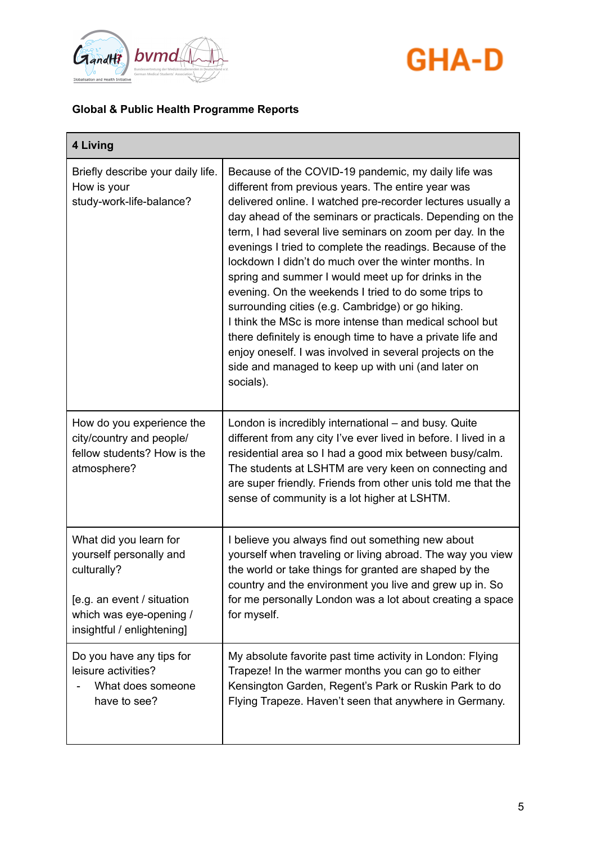



| 4 Living                                                                                                                                                |                                                                                                                                                                                                                                                                                                                                                                                                                                                                                                                                                                                                                                                                                                                                                                                                                                                     |
|---------------------------------------------------------------------------------------------------------------------------------------------------------|-----------------------------------------------------------------------------------------------------------------------------------------------------------------------------------------------------------------------------------------------------------------------------------------------------------------------------------------------------------------------------------------------------------------------------------------------------------------------------------------------------------------------------------------------------------------------------------------------------------------------------------------------------------------------------------------------------------------------------------------------------------------------------------------------------------------------------------------------------|
| Briefly describe your daily life.<br>How is your<br>study-work-life-balance?                                                                            | Because of the COVID-19 pandemic, my daily life was<br>different from previous years. The entire year was<br>delivered online. I watched pre-recorder lectures usually a<br>day ahead of the seminars or practicals. Depending on the<br>term, I had several live seminars on zoom per day. In the<br>evenings I tried to complete the readings. Because of the<br>lockdown I didn't do much over the winter months. In<br>spring and summer I would meet up for drinks in the<br>evening. On the weekends I tried to do some trips to<br>surrounding cities (e.g. Cambridge) or go hiking.<br>I think the MSc is more intense than medical school but<br>there definitely is enough time to have a private life and<br>enjoy oneself. I was involved in several projects on the<br>side and managed to keep up with uni (and later on<br>socials). |
| How do you experience the<br>city/country and people/<br>fellow students? How is the<br>atmosphere?                                                     | London is incredibly international - and busy. Quite<br>different from any city I've ever lived in before. I lived in a<br>residential area so I had a good mix between busy/calm.<br>The students at LSHTM are very keen on connecting and<br>are super friendly. Friends from other unis told me that the<br>sense of community is a lot higher at LSHTM.                                                                                                                                                                                                                                                                                                                                                                                                                                                                                         |
| What did you learn for<br>yourself personally and<br>culturally?<br>[e.g. an event / situation<br>which was eye-opening /<br>insightful / enlightening] | I believe you always find out something new about<br>yourself when traveling or living abroad. The way you view<br>the world or take things for granted are shaped by the<br>country and the environment you live and grew up in. So<br>for me personally London was a lot about creating a space<br>for myself.                                                                                                                                                                                                                                                                                                                                                                                                                                                                                                                                    |
| Do you have any tips for<br>leisure activities?<br>What does someone<br>have to see?                                                                    | My absolute favorite past time activity in London: Flying<br>Trapeze! In the warmer months you can go to either<br>Kensington Garden, Regent's Park or Ruskin Park to do<br>Flying Trapeze. Haven't seen that anywhere in Germany.                                                                                                                                                                                                                                                                                                                                                                                                                                                                                                                                                                                                                  |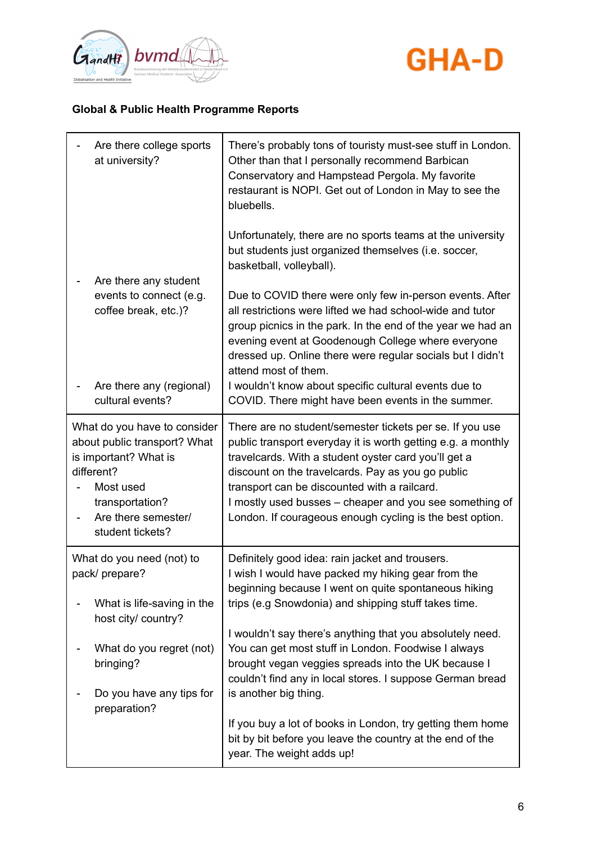



| Are there college sports<br>at university?                                                                                                                                     | There's probably tons of touristy must-see stuff in London.<br>Other than that I personally recommend Barbican<br>Conservatory and Hampstead Pergola. My favorite<br>restaurant is NOPI. Get out of London in May to see the<br>bluebells.                                                                                                                                                                   |
|--------------------------------------------------------------------------------------------------------------------------------------------------------------------------------|--------------------------------------------------------------------------------------------------------------------------------------------------------------------------------------------------------------------------------------------------------------------------------------------------------------------------------------------------------------------------------------------------------------|
|                                                                                                                                                                                | Unfortunately, there are no sports teams at the university<br>but students just organized themselves (i.e. soccer,<br>basketball, volleyball).                                                                                                                                                                                                                                                               |
| Are there any student<br>events to connect (e.g.<br>coffee break, etc.)?<br>Are there any (regional)                                                                           | Due to COVID there were only few in-person events. After<br>all restrictions were lifted we had school-wide and tutor<br>group picnics in the park. In the end of the year we had an<br>evening event at Goodenough College where everyone<br>dressed up. Online there were regular socials but I didn't<br>attend most of them.<br>I wouldn't know about specific cultural events due to                    |
| cultural events?                                                                                                                                                               | COVID. There might have been events in the summer.                                                                                                                                                                                                                                                                                                                                                           |
| What do you have to consider<br>about public transport? What<br>is important? What is<br>different?<br>Most used<br>transportation?<br>Are there semester/<br>student tickets? | There are no student/semester tickets per se. If you use<br>public transport everyday it is worth getting e.g. a monthly<br>travelcards. With a student oyster card you'll get a<br>discount on the travelcards. Pay as you go public<br>transport can be discounted with a railcard.<br>I mostly used busses – cheaper and you see something of<br>London. If courageous enough cycling is the best option. |
| What do you need (not) to<br>pack/ prepare?                                                                                                                                    | Definitely good idea: rain jacket and trousers.<br>I wish I would have packed my hiking gear from the<br>beginning because I went on quite spontaneous hiking                                                                                                                                                                                                                                                |
| What is life-saving in the<br>host city/ country?                                                                                                                              | trips (e.g Snowdonia) and shipping stuff takes time.                                                                                                                                                                                                                                                                                                                                                         |
| What do you regret (not)<br>bringing?<br>Do you have any tips for                                                                                                              | I wouldn't say there's anything that you absolutely need.<br>You can get most stuff in London. Foodwise I always<br>brought vegan veggies spreads into the UK because I<br>couldn't find any in local stores. I suppose German bread<br>is another big thing.                                                                                                                                                |
| preparation?                                                                                                                                                                   | If you buy a lot of books in London, try getting them home<br>bit by bit before you leave the country at the end of the<br>year. The weight adds up!                                                                                                                                                                                                                                                         |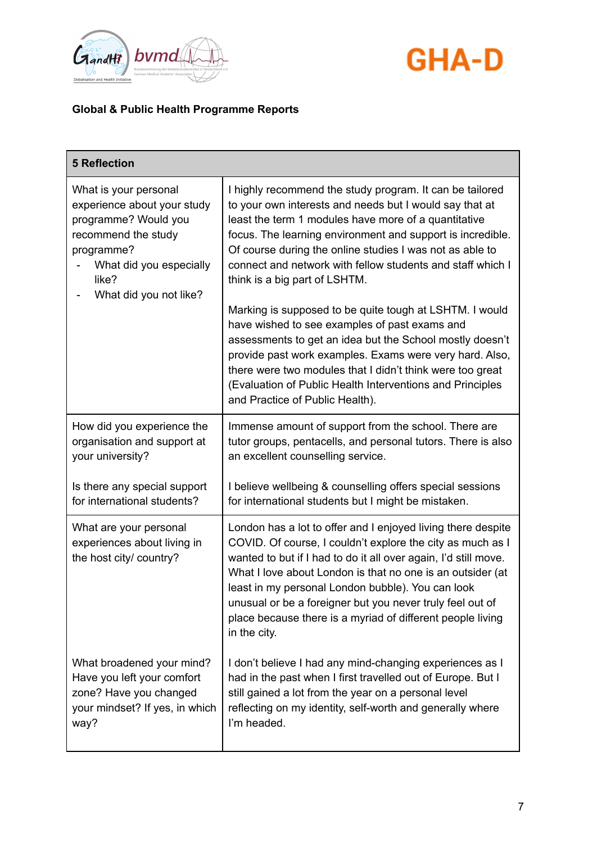



| <b>5 Reflection</b>                                                                                                                                                             |                                                                                                                                                                                                                                                                                                                                                                                                                                                                                                                                                                                                                                                                                                      |
|---------------------------------------------------------------------------------------------------------------------------------------------------------------------------------|------------------------------------------------------------------------------------------------------------------------------------------------------------------------------------------------------------------------------------------------------------------------------------------------------------------------------------------------------------------------------------------------------------------------------------------------------------------------------------------------------------------------------------------------------------------------------------------------------------------------------------------------------------------------------------------------------|
| What is your personal<br>experience about your study<br>programme? Would you<br>recommend the study<br>programme?<br>What did you especially<br>like?<br>What did you not like? | I highly recommend the study program. It can be tailored<br>to your own interests and needs but I would say that at<br>least the term 1 modules have more of a quantitative<br>focus. The learning environment and support is incredible.<br>Of course during the online studies I was not as able to<br>connect and network with fellow students and staff which I<br>think is a big part of LSHTM.<br>Marking is supposed to be quite tough at LSHTM. I would<br>have wished to see examples of past exams and<br>assessments to get an idea but the School mostly doesn't<br>provide past work examples. Exams were very hard. Also,<br>there were two modules that I didn't think were too great |
|                                                                                                                                                                                 | (Evaluation of Public Health Interventions and Principles<br>and Practice of Public Health).                                                                                                                                                                                                                                                                                                                                                                                                                                                                                                                                                                                                         |
| How did you experience the<br>organisation and support at<br>your university?                                                                                                   | Immense amount of support from the school. There are<br>tutor groups, pentacells, and personal tutors. There is also<br>an excellent counselling service.                                                                                                                                                                                                                                                                                                                                                                                                                                                                                                                                            |
| Is there any special support<br>for international students?                                                                                                                     | I believe wellbeing & counselling offers special sessions<br>for international students but I might be mistaken.                                                                                                                                                                                                                                                                                                                                                                                                                                                                                                                                                                                     |
| What are your personal<br>experiences about living in<br>the host city/ country?                                                                                                | London has a lot to offer and I enjoyed living there despite<br>COVID. Of course, I couldn't explore the city as much as I<br>wanted to but if I had to do it all over again, I'd still move.<br>What I love about London is that no one is an outsider (at<br>least in my personal London bubble). You can look<br>unusual or be a foreigner but you never truly feel out of<br>place because there is a myriad of different people living<br>in the city.                                                                                                                                                                                                                                          |
| What broadened your mind?<br>Have you left your comfort<br>zone? Have you changed<br>your mindset? If yes, in which<br>way?                                                     | I don't believe I had any mind-changing experiences as I<br>had in the past when I first travelled out of Europe. But I<br>still gained a lot from the year on a personal level<br>reflecting on my identity, self-worth and generally where<br>I'm headed.                                                                                                                                                                                                                                                                                                                                                                                                                                          |